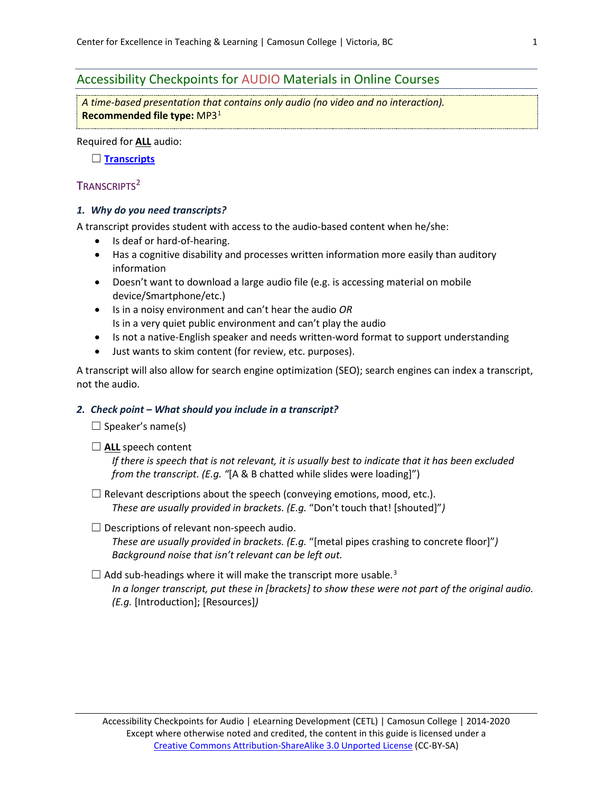# Accessibility Checkpoints for AUDIO Materials in Online Courses

*A time-based presentation that contains only audio (no video and no interaction).* **Recommended file type:** MP[31](#page-2-0)

Required for **ALL** audio:

☐ **[Transcripts](#page-0-0)**

## <span id="page-0-0"></span>TRANSCRIPTS<sup>[2](#page-2-1)</sup>

## *1. Why do you need transcripts?*

A transcript provides student with access to the audio-based content when he/she:

- Is deaf or hard-of-hearing.
- Has a cognitive disability and processes written information more easily than auditory information
- Doesn't want to download a large audio file (e.g. is accessing material on mobile device/Smartphone/etc.)
- Is in a noisy environment and can't hear the audio *OR* Is in a very quiet public environment and can't play the audio
- Is not a native-English speaker and needs written-word format to support understanding
- Just wants to skim content (for review, etc. purposes).

A transcript will also allow for search engine optimization (SEO); search engines can index a transcript, not the audio.

## *2. Check point – What should you include in a transcript?*

 $\Box$  Speaker's name(s)

□ ALL speech content

*If there is speech that is not relevant, it is usually best to indicate that it has been excluded from the transcript. (E.g. "*[A & B chatted while slides were loading]")

 $\Box$  Relevant descriptions about the speech (conveying emotions, mood, etc.). *These are usually provided in brackets. (E.g.* "Don't touch that! [shouted]"*)*

## $\Box$  Descriptions of relevant non-speech audio.

*These are usually provided in brackets. (E.g.* "[metal pipes crashing to concrete floor]"*) Background noise that isn't relevant can be left out.*

# $\Box$  Add sub-headings where it will make the transcript more usable.<sup>[3](#page-2-2)</sup>

*In a longer transcript, put these in [brackets] to show these were not part of the original audio. (E.g.* [Introduction]; [Resources]*)*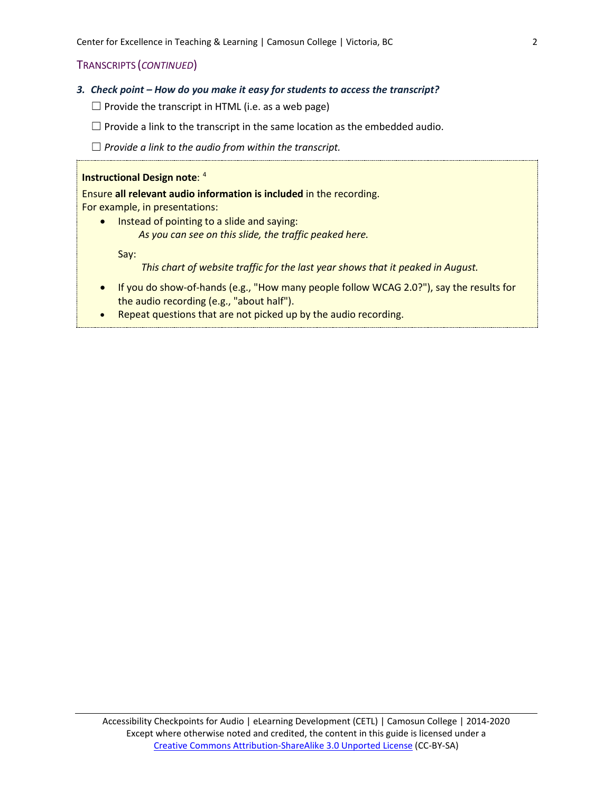## TRANSCRIPTS (*CONTINUED*)

- *3. Check point – How do you make it easy for students to access the transcript?*
	- $\Box$  Provide the transcript in HTML (i.e. as a web page)
	- $\Box$  Provide a link to the transcript in the same location as the embedded audio.
	- ☐ *Provide a link to the audio from within the transcript.*

#### **Instructional Design note: [4](#page-2-3)**

Ensure **all relevant audio information is included** in the recording. For example, in presentations:

• Instead of pointing to a slide and saying: *As you can see on this slide, the traffic peaked here.*

Say:

*This chart of website traffic for the last year shows that it peaked in August.*

- If you do show-of-hands (e.g., "How many people follow WCAG 2.0?"), say the results for the audio recording (e.g., "about half").
- Repeat questions that are not picked up by the audio recording.